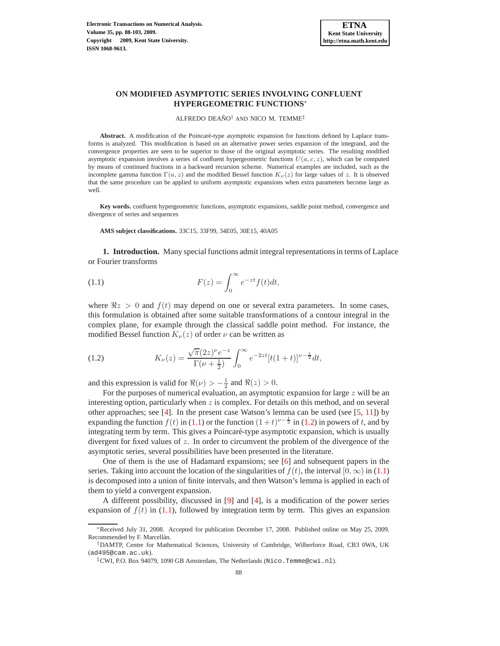# **ON MODIFIED ASYMPTOTIC SERIES INVOLVING CONFLUENT HYPERGEOMETRIC FUNCTIONS**∗

ALFREDO DEAÑO<sup>†</sup> AND NICO M. TEMME<sup>‡</sup>

Abstract. A modification of the Poincaré-type asymptotic expansion for functions defined by Laplace transforms is analyzed. This modification is based on an alternative power series expansion of the integrand, and the convergence properties are seen to be superior to those of the original asymptotic series. The resulting modified asymptotic expansion involves a series of confluent hypergeometric functions  $U(a, c, z)$ , which can be computed by means of continued fractions in a backward recursion scheme. Numerical examples are included, such as the incomplete gamma function  $\Gamma(a, z)$  and the modified Bessel function  $K_{\nu}(z)$  for large values of z. It is observed that the same procedure can be applied to uniform asymptotic expansions when extra parameters become large as well.

**Key words.** confluent hypergeometric functions, asymptotic expansions, saddle point method, convergence and divergence of series and sequences

**AMS subject classifications.** 33C15, 33F99, 34E05, 30E15, 40A05

**1. Introduction.** Many special functions admit integral representations in terms of Laplace or Fourier transforms

<span id="page-0-0"></span>(1.1) 
$$
F(z) = \int_0^\infty e^{-zt} f(t) dt,
$$

where  $\Re z > 0$  and  $f(t)$  may depend on one or several extra parameters. In some cases, this formulation is obtained after some suitable transformations of a contour integral in the complex plane, for example through the classical saddle point method. For instance, the modified Bessel function  $K_{\nu}(z)$  of order  $\nu$  can be written as

<span id="page-0-1"></span>(1.2) 
$$
K_{\nu}(z) = \frac{\sqrt{\pi}(2z)^{\nu}e^{-z}}{\Gamma(\nu + \frac{1}{2})} \int_0^{\infty} e^{-2zt} [t(1+t)]^{\nu - \frac{1}{2}} dt,
$$

and this expression is valid for  $\Re(\nu) > -\frac{1}{2}$  and  $\Re(z) > 0$ .

For the purposes of numerical evaluation, an asymptotic expansion for large  $z$  will be an interesting option, particularly when  $z$  is complex. For details on this method, and on several other approaches; see  $[4]$ . In the present case Watson's lemma can be used (see  $[5, 11]$  $[5, 11]$ ) by expanding the function  $f(t)$  in [\(1.1\)](#page-0-0) or the function  $(1+t)^{\nu-\frac{1}{2}}$  in [\(1.2\)](#page-0-1) in powers of t, and by integrating term by term. This gives a Poincaré-type asymptotic expansion, which is usually divergent for fixed values of  $z$ . In order to circumvent the problem of the divergence of the asymptotic series, several possibilities have been presented in the literature.

One of them is the use of Hadamard expansions; see [\[6\]](#page-15-3) and subsequent papers in the series. Taking into account the location of the singularities of  $f(t)$ , the interval  $[0, \infty)$  in [\(1.1\)](#page-0-0) is decomposed into a union of finite intervals, and then Watson's lemma is applied in each of them to yield a convergent expansion.

A different possibility, discussed in [\[9\]](#page-15-4) and [\[4\]](#page-15-0), is a modification of the power series expansion of  $f(t)$  in [\(1.1\)](#page-0-0), followed by integration term by term. This gives an expansion

<sup>∗</sup>Received July 31, 2008. Accepted for publication December 17, 2008. Published online on May 25, 2009. Recommended by F. Marcellán.

<sup>†</sup>DAMTP, Centre for Mathematical Sciences, University of Cambridge, Wilberforce Road, CB3 0WA, UK (ad495@cam.ac.uk).

<sup>‡</sup>CWI, P.O. Box 94079, 1090 GB Amsterdam, The Netherlands (Nico.Temme@cwi.nl).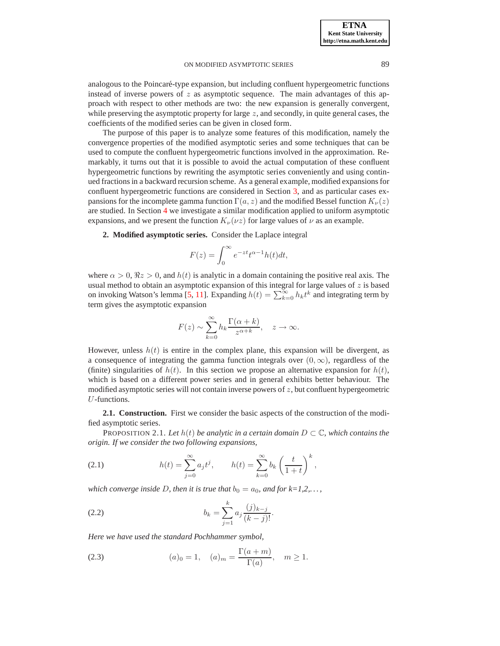analogous to the Poincaré-type expansion, but including confluent hypergeometric functions instead of inverse powers of  $z$  as asymptotic sequence. The main advantages of this approach with respect to other methods are two: the new expansion is generally convergent, while preserving the asymptotic property for large  $z$ , and secondly, in quite general cases, the coefficients of the modified series can be given in closed form.

The purpose of this paper is to analyze some features of this modification, namely the convergence properties of the modified asymptotic series and some techniques that can be used to compute the confluent hypergeometric functions involved in the approximation. Remarkably, it turns out that it is possible to avoid the actual computation of these confluent hypergeometric functions by rewriting the asymptotic series conveniently and using continued fractions in a backward recursion scheme. As a general example, modified expansions for confluent hypergeometric functions are considered in Section [3,](#page-6-0) and as particular cases expansions for the incomplete gamma function  $\Gamma(a, z)$  and the modified Bessel function  $K_{\nu}(z)$ are studied. In Section [4](#page-9-0) we investigate a similar modification applied to uniform asymptotic expansions, and we present the function  $K_{\nu}(\nu z)$  for large values of  $\nu$  as an example.

<span id="page-1-3"></span>**2. Modified asymptotic series.** Consider the Laplace integral

$$
F(z) = \int_0^\infty e^{-zt} t^{\alpha - 1} h(t) dt,
$$

where  $\alpha > 0$ ,  $\Re z > 0$ , and  $h(t)$  is analytic in a domain containing the positive real axis. The usual method to obtain an asymptotic expansion of this integral for large values of  $z$  is based on invoking Watson's lemma [\[5,](#page-15-1) [11\]](#page-15-2). Expanding  $h(t) = \sum_{k=0}^{\infty} h_k t^k$  and integrating term by term gives the asymptotic expansion

$$
F(z) \sim \sum_{k=0}^{\infty} h_k \frac{\Gamma(\alpha + k)}{z^{\alpha + k}}, \quad z \to \infty.
$$

However, unless  $h(t)$  is entire in the complex plane, this expansion will be divergent, as a consequence of integrating the gamma function integrals over  $(0, \infty)$ , regardless of the (finite) singularities of  $h(t)$ . In this section we propose an alternative expansion for  $h(t)$ , which is based on a different power series and in general exhibits better behaviour. The modified asymptotic series will not contain inverse powers of  $z$ , but confluent hypergeometric U-functions.

**2.1. Construction.** First we consider the basic aspects of the construction of the modified asymptotic series.

PROPOSITION 2.1. Let  $h(t)$  be analytic in a certain domain  $D \subset \mathbb{C}$ , which contains the *origin. If we consider the two following expansions,*

<span id="page-1-1"></span>(2.1) 
$$
h(t) = \sum_{j=0}^{\infty} a_j t^j, \qquad h(t) = \sum_{k=0}^{\infty} b_k \left(\frac{t}{1+t}\right)^k,
$$

*which converge inside D, then it is true that*  $b_0 = a_0$ *, and for k=1,2,...*,

<span id="page-1-0"></span>(2.2) 
$$
b_k = \sum_{j=1}^k a_j \frac{(j)_{k-j}}{(k-j)!}.
$$

*Here we have used the standard Pochhammer symbol,*

<span id="page-1-2"></span>(2.3) 
$$
(a)_0 = 1, \quad (a)_m = \frac{\Gamma(a+m)}{\Gamma(a)}, \quad m \ge 1.
$$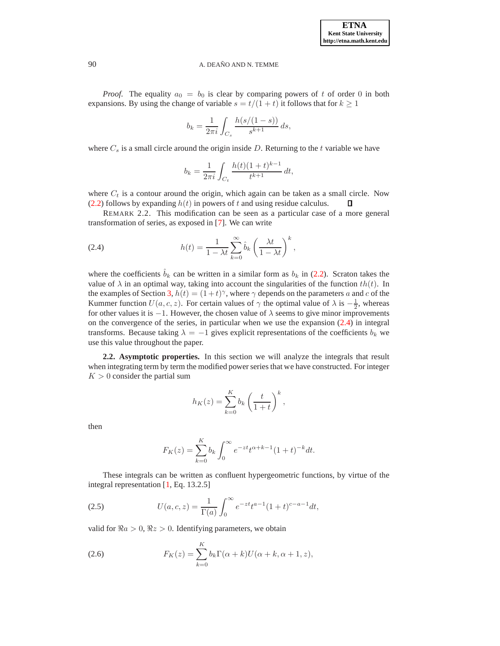**ETNA Kent State University http://etna.math.kent.edu**

### 90 A. DEAÑO AND N. TEMME

*Proof.* The equality  $a_0 = b_0$  is clear by comparing powers of t of order 0 in both expansions. By using the change of variable  $s = t/(1 + t)$  it follows that for  $k \ge 1$ 

$$
b_k = \frac{1}{2\pi i} \int_{C_s} \frac{h(s/(1-s))}{s^{k+1}} ds,
$$

where  $C_s$  is a small circle around the origin inside D. Returning to the t variable we have

$$
b_k = \frac{1}{2\pi i} \int_{C_t} \frac{h(t)(1+t)^{k-1}}{t^{k+1}} dt,
$$

where  $C_t$  is a contour around the origin, which again can be taken as a small circle. Now [\(2.2\)](#page-1-0) follows by expanding  $h(t)$  in powers of t and using residue calculus. □

REMARK 2.2. This modification can be seen as a particular case of a more general transformation of series, as exposed in [\[7\]](#page-15-5). We can write

<span id="page-2-0"></span>(2.4) 
$$
h(t) = \frac{1}{1 - \lambda t} \sum_{k=0}^{\infty} \hat{b}_k \left(\frac{\lambda t}{1 - \lambda t}\right)^k,
$$

where the coefficients  $\hat{b}_k$  can be written in a similar form as  $b_k$  in [\(2.2\)](#page-1-0). Scraton takes the value of  $\lambda$  in an optimal way, taking into account the singularities of the function  $th(t)$ . In the examples of Section [3,](#page-6-0)  $h(t) = (1+t)^\gamma$ , where  $\gamma$  depends on the parameters a and c of the Kummer function  $U(a, c, z)$ . For certain values of  $\gamma$  the optimal value of  $\lambda$  is  $-\frac{1}{2}$ , whereas for other values it is  $-1$ . However, the chosen value of  $\lambda$  seems to give minor improvements on the convergence of the series, in particular when we use the expansion [\(2.4\)](#page-2-0) in integral transforms. Because taking  $\lambda = -1$  gives explicit representations of the coefficients  $b_k$  we use this value throughout the paper.

**2.2. Asymptotic properties.** In this section we will analyze the integrals that result when integrating term by term the modified power series that we have constructed. For integer  $K > 0$  consider the partial sum

$$
h_K(z) = \sum_{k=0}^K b_k \left(\frac{t}{1+t}\right)^k,
$$

then

$$
F_K(z) = \sum_{k=0}^{K} b_k \int_0^{\infty} e^{-zt} t^{\alpha+k-1} (1+t)^{-k} dt.
$$

These integrals can be written as confluent hypergeometric functions, by virtue of the integral representation [\[1,](#page-15-6) Eq. 13.2.5]

<span id="page-2-2"></span>(2.5) 
$$
U(a,c,z) = \frac{1}{\Gamma(a)} \int_0^\infty e^{-zt} t^{a-1} (1+t)^{c-a-1} dt,
$$

valid for  $\Re a > 0$ ,  $\Re z > 0$ . Identifying parameters, we obtain

<span id="page-2-1"></span>(2.6) 
$$
F_K(z) = \sum_{k=0}^K b_k \Gamma(\alpha + k) U(\alpha + k, \alpha + 1, z),
$$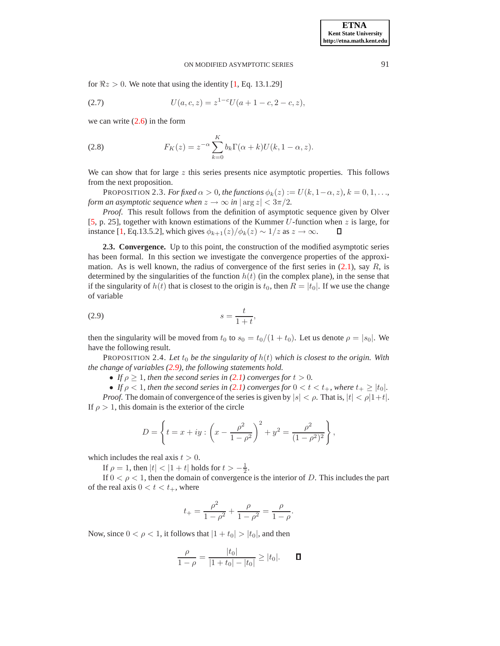for  $\Re z > 0$ . We note that using the identity [\[1,](#page-15-6) Eq. 13.1.29]

<span id="page-3-2"></span>(2.7) 
$$
U(a, c, z) = z^{1-c}U(a + 1 - c, 2 - c, z),
$$

we can write  $(2.6)$  in the form

<span id="page-3-1"></span>(2.8) 
$$
F_K(z) = z^{-\alpha} \sum_{k=0}^{K} b_k \Gamma(\alpha + k) U(k, 1 - \alpha, z).
$$

We can show that for large  $z$  this series presents nice asymptotic properties. This follows from the next proposition.

PROPOSITION 2.3. *For fixed*  $\alpha > 0$ *, the functions*  $\phi_k(z) := U(k, 1-\alpha, z)$ *,*  $k = 0, 1, \ldots$ *, form an asymptotic sequence when*  $z \to \infty$  *in*  $|\arg z| < 3\pi/2$ *.* 

*Proof.* This result follows from the definition of asymptotic sequence given by Olver [\[5,](#page-15-1) p. 25], together with known estimations of the Kummer U-function when z is large, for instance [\[1,](#page-15-6) Eq.13.5.2], which gives  $\phi_{k+1}(z)/\phi_k(z) \sim 1/z$  as  $z \to \infty$ . Л

**2.3. Convergence.** Up to this point, the construction of the modified asymptotic series has been formal. In this section we investigate the convergence properties of the approximation. As is well known, the radius of convergence of the first series in  $(2.1)$ , say R, is determined by the singularities of the function  $h(t)$  (in the complex plane), in the sense that if the singularity of  $h(t)$  that is closest to the origin is  $t_0$ , then  $R = |t_0|$ . If we use the change of variable

<span id="page-3-0"></span>
$$
(2.9) \t\t\t s = \frac{t}{1+t},
$$

then the singularity will be moved from  $t_0$  to  $s_0 = t_0/(1 + t_0)$ . Let us denote  $\rho = |s_0|$ . We have the following result.

PROPOSITION 2.4. Let  $t_0$  *be the singularity of*  $h(t)$  *which is closest to the origin. With the change of variables [\(2.9\)](#page-3-0), the following statements hold.*

• *If*  $\rho \geq 1$ *, then the second series in [\(2.1\)](#page-1-1) converges for*  $t > 0$ *.* 

• If  $\rho < 1$ , then the second series in [\(2.1\)](#page-1-1) converges for  $0 < t < t_{+}$ , where  $t_{+} \geq |t_{0}|$ .

*Proof.* The domain of convergence of the series is given by  $|s| < \rho$ . That is,  $|t| < \rho |1+t|$ . If  $\rho > 1$ , this domain is the exterior of the circle

$$
D = \left\{ t = x + iy : \left( x - \frac{\rho^2}{1 - \rho^2} \right)^2 + y^2 = \frac{\rho^2}{(1 - \rho^2)^2} \right\},\,
$$

which includes the real axis  $t > 0$ .

If  $\rho = 1$ , then  $|t| < |1 + t|$  holds for  $t > -\frac{1}{2}$ .

If  $0 < \rho < 1$ , then the domain of convergence is the interior of D. This includes the part of the real axis  $0 < t < t_{+}$ , where

$$
t_{+} = \frac{\rho^2}{1 - \rho^2} + \frac{\rho}{1 - \rho^2} = \frac{\rho}{1 - \rho}.
$$

Now, since  $0 < \rho < 1$ , it follows that  $|1 + t_0| > |t_0|$ , and then

$$
\frac{\rho}{1-\rho} = \frac{|t_0|}{|1+t_0|-|t_0|} \ge |t_0|.
$$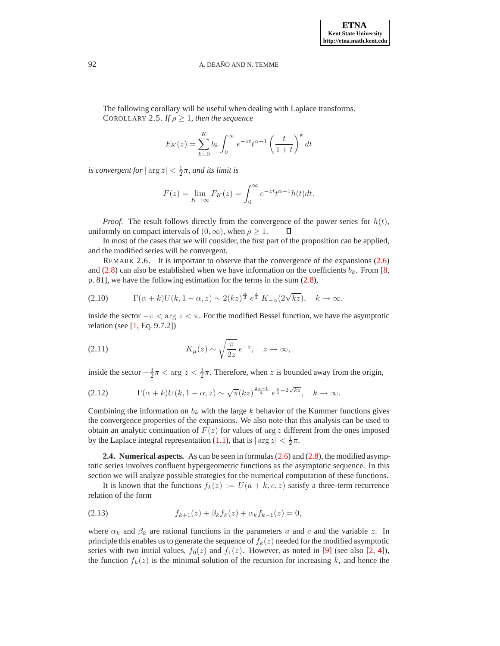The following corollary will be useful when dealing with Laplace transforms. COROLLARY 2.5. *If*  $\rho \geq 1$ *, then the sequence* 

<span id="page-4-1"></span>
$$
F_K(z) = \sum_{k=0}^{K} b_k \int_0^{\infty} e^{-zt} t^{\alpha-1} \left(\frac{t}{1+t}\right)^k dt
$$

*is convergent for*  $|\arg z| < \frac{1}{2}\pi$ *, and its limit is* 

$$
F(z) = \lim_{K \to \infty} F_K(z) = \int_0^\infty e^{-zt} t^{\alpha - 1} h(t) dt.
$$

*Proof.* The result follows directly from the convergence of the power series for  $h(t)$ , uniformly on compact intervals of  $(0, \infty)$ , when  $\rho \geq 1$ .  $\Box$ 

In most of the cases that we will consider, the first part of the proposition can be applied, and the modified series will be convergent.

<span id="page-4-2"></span>REMARK 2.6. It is important to observe that the convergence of the expansions [\(2.6\)](#page-2-1) and [\(2.8\)](#page-3-1) can also be established when we have information on the coefficients  $b_k$ . From [\[8,](#page-15-7) p. 81], we have the following estimation for the terms in the sum  $(2.8)$ ,

<span id="page-4-4"></span>
$$
(2.10) \t\Gamma(\alpha+k)U(k,1-\alpha,z) \sim 2(kz)^{\frac{\alpha}{2}} e^{\frac{z}{2}} K_{-\alpha}(2\sqrt{kz}), \quad k \to \infty,
$$

inside the sector  $-\pi < \arg z < \pi$ . For the modified Bessel function, we have the asymptotic relation (see [\[1,](#page-15-6) Eq. 9.7.2])

<span id="page-4-5"></span>(2.11) 
$$
K_{\mu}(z) \sim \sqrt{\frac{\pi}{2z}} e^{-z}, \quad z \to \infty,
$$

inside the sector  $-\frac{3}{2}\pi < \arg z < \frac{3}{2}\pi$ . Therefore, when z is bounded away from the origin,

<span id="page-4-3"></span>(2.12) 
$$
\Gamma(\alpha+k)U(k,1-\alpha,z) \sim \sqrt{\pi}(kz)^{\frac{2\alpha-1}{4}} e^{\frac{z}{2}-2\sqrt{kz}}, \quad k \to \infty.
$$

Combining the information on  $b_k$  with the large k behavior of the Kummer functions gives the convergence properties of the expansions. We also note that this analysis can be used to obtain an analytic continuation of  $F(z)$  for values of arg z different from the ones imposed by the Laplace integral representation [\(1.1\)](#page-0-0), that is  $|\arg z| < \frac{1}{2}\pi$ .

<span id="page-4-6"></span>**2.4. Numerical aspects.** As can be seen in formulas [\(2.6\)](#page-2-1) and [\(2.8\)](#page-3-1), the modified asymptotic series involves confluent hypergeometric functions as the asymptotic sequence. In this section we will analyze possible strategies for the numerical computation of these functions.

It is known that the functions  $f_k(z) := U(a + k, c, z)$  satisfy a three-term recurrence relation of the form

<span id="page-4-0"></span>(2.13) 
$$
f_{k+1}(z) + \beta_k f_k(z) + \alpha_k f_{k-1}(z) = 0,
$$

where  $\alpha_k$  and  $\beta_k$  are rational functions in the parameters a and c and the variable z. In principle this enables us to generate the sequence of  $f_k(z)$  needed for the modified asymptotic series with two initial values,  $f_0(z)$  and  $f_1(z)$ . However, as noted in [\[9\]](#page-15-4) (see also [\[2,](#page-15-8) [4\]](#page-15-0)), the function  $f_k(z)$  is the minimal solution of the recursion for increasing k, and hence the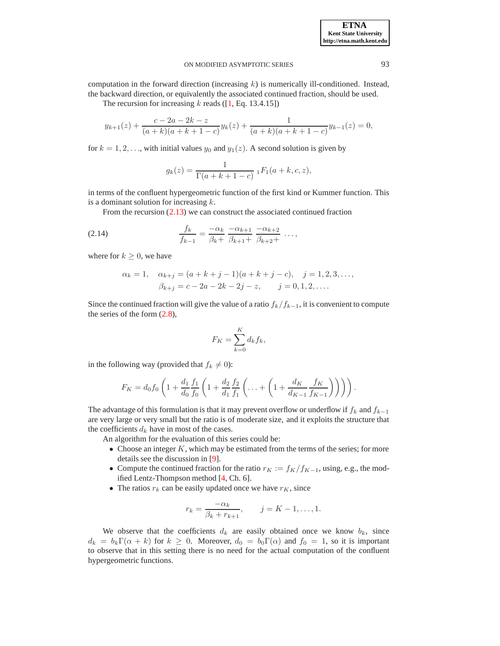computation in the forward direction (increasing  $k$ ) is numerically ill-conditioned. Instead, the backward direction, or equivalently the associated continued fraction, should be used.

The recursion for increasing  $k$  reads ([\[1,](#page-15-6) Eq. 13.4.15])

$$
y_{k+1}(z) + \frac{c-2a-2k-z}{(a+k)(a+k+1-c)}y_k(z) + \frac{1}{(a+k)(a+k+1-c)}y_{k-1}(z) = 0,
$$

for  $k = 1, 2, \ldots$ , with initial values  $y_0$  and  $y_1(z)$ . A second solution is given by

$$
g_k(z) = \frac{1}{\Gamma(a+k+1-c)} \, {}_1F_1(a+k,c,z),
$$

in terms of the confluent hypergeometric function of the first kind or Kummer function. This is a dominant solution for increasing  $k$ .

<span id="page-5-0"></span>From the recursion [\(2.13\)](#page-4-0) we can construct the associated continued fraction

(2.14) 
$$
\frac{f_k}{f_{k-1}} = \frac{-\alpha_k}{\beta_k +} \frac{-\alpha_{k+1}}{\beta_{k+1} +} \frac{-\alpha_{k+2}}{\beta_{k+2} +} \dots,
$$

where for  $k \geq 0$ , we have

$$
\alpha_k = 1, \quad \alpha_{k+j} = (a+k+j-1)(a+k+j-c), \quad j = 1, 2, 3, \dots, \n\beta_{k+j} = c - 2a - 2k - 2j - z, \quad j = 0, 1, 2, \dots
$$

Since the continued fraction will give the value of a ratio  $f_k/f_{k-1}$ , it is convenient to compute the series of the form [\(2.8\)](#page-3-1),

$$
F_K = \sum_{k=0}^K d_k f_k,
$$

in the following way (provided that  $f_k \neq 0$ ):

$$
F_K = d_0 f_0 \left( 1 + \frac{d_1}{d_0} \frac{f_1}{f_0} \left( 1 + \frac{d_2}{d_1} \frac{f_2}{f_1} \left( \dots + \left( 1 + \frac{d_K}{d_{K-1}} \frac{f_K}{f_{K-1}} \right) \right) \right) \right).
$$

The advantage of this formulation is that it may prevent overflow or underflow if  $f_k$  and  $f_{k-1}$ are very large or very small but the ratio is of moderate size, and it exploits the structure that the coefficients  $d_k$  have in most of the cases.

An algorithm for the evaluation of this series could be:

- Choose an integer  $K$ , which may be estimated from the terms of the series; for more details see the discussion in [\[9\]](#page-15-4).
- Compute the continued fraction for the ratio  $r_K := f_K/f_{K-1}$ , using, e.g., the modified Lentz-Thompson method [\[4,](#page-15-0) Ch. 6].
- The ratios  $r_k$  can be easily updated once we have  $r_K$ , since

$$
r_k = \frac{-\alpha_k}{\beta_k + r_{k+1}},
$$
  $j = K - 1, ..., 1.$ 

We observe that the coefficients  $d_k$  are easily obtained once we know  $b_k$ , since  $d_k = b_k \Gamma(\alpha + k)$  for  $k \geq 0$ . Moreover,  $d_0 = b_0 \Gamma(\alpha)$  and  $f_0 = 1$ , so it is important to observe that in this setting there is no need for the actual computation of the confluent hypergeometric functions.

**ETNA Kent State University http://etna.math.kent.edu**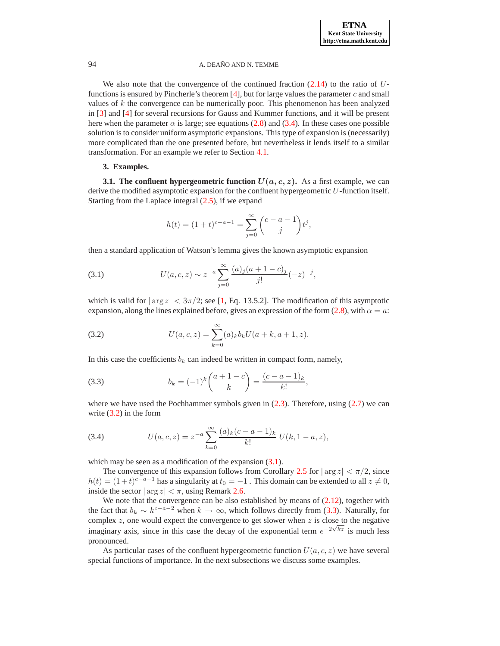We also note that the convergence of the continued fraction  $(2.14)$  to the ratio of U-functions is ensured by Pincherle's theorem [\[4\]](#page-15-0), but for large values the parameter  $c$  and small values of  $k$  the convergence can be numerically poor. This phenomenon has been analyzed in [\[3\]](#page-15-9) and [\[4\]](#page-15-0) for several recursions for Gauss and Kummer functions, and it will be present here when the parameter  $\alpha$  is large; see equations [\(2.8\)](#page-3-1) and [\(3.4\)](#page-6-1). In these cases one possible solution is to consider uniform asymptotic expansions. This type of expansion is (necessarily) more complicated than the one presented before, but nevertheless it lends itself to a similar transformation. For an example we refer to Section [4.1.](#page-9-1)

## **3. Examples.**

<span id="page-6-0"></span>**3.1. The confluent hypergeometric function**  $U(a, c, z)$ **.** As a first example, we can derive the modified asymptotic expansion for the confluent hypergeometric  $U$ -function itself. Starting from the Laplace integral  $(2.5)$ , if we expand

$$
h(t) = (1+t)^{c-a-1} = \sum_{j=0}^{\infty} {c-a-1 \choose j} t^j,
$$

then a standard application of Watson's lemma gives the known asymptotic expansion

<span id="page-6-3"></span>(3.1) 
$$
U(a, c, z) \sim z^{-a} \sum_{j=0}^{\infty} \frac{(a)_j (a+1-c)_j}{j!} (-z)^{-j},
$$

which is valid for  $|\arg z| < 3\pi/2$ ; see [\[1,](#page-15-6) Eq. 13.5.2]. The modification of this asymptotic expansion, along the lines explained before, gives an expression of the form [\(2.8\)](#page-3-1), with  $\alpha = a$ :

<span id="page-6-2"></span>(3.2) 
$$
U(a,c,z) = \sum_{k=0}^{\infty} (a)_k b_k U(a+k, a+1, z).
$$

In this case the coefficients  $b_k$  can indeed be written in compact form, namely,

<span id="page-6-4"></span>(3.3) 
$$
b_k = (-1)^k {a+1-c \choose k} = \frac{(c-a-1)_k}{k!},
$$

where we have used the Pochhammer symbols given in  $(2.3)$ . Therefore, using  $(2.7)$  we can write [\(3.2\)](#page-6-2) in the form

<span id="page-6-1"></span>(3.4) 
$$
U(a,c,z) = z^{-a} \sum_{k=0}^{\infty} \frac{(a)_k (c-a-1)_k}{k!} U(k,1-a,z),
$$

which may be seen as a modification of the expansion  $(3.1)$ .

The convergence of this expansion follows from Corollary [2.5](#page-4-1) for  $|\arg z| < \pi/2$ , since  $h(t) = (1+t)^{c-a-1}$  has a singularity at  $t_0 = -1$  . This domain can be extended to all  $z \neq 0$ , inside the sector  $|\arg z| < \pi$ , using Remark [2.6.](#page-4-2)

We note that the convergence can be also established by means of  $(2.12)$ , together with the fact that  $b_k \sim k^{c-a-2}$  when  $k \to \infty$ , which follows directly from [\(3.3\)](#page-6-4). Naturally, for complex  $z$ , one would expect the convergence to get slower when  $z$  is close to the negative imaginary axis, since in this case the decay of the exponential term  $e^{-2\sqrt{kz}}$  is much less pronounced.

As particular cases of the confluent hypergeometric function  $U(a, c, z)$  we have several special functions of importance. In the next subsections we discuss some examples.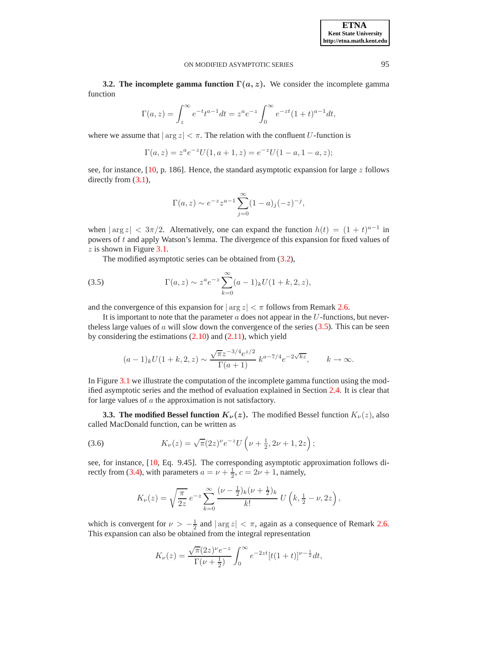**3.2. The incomplete gamma function**  $\Gamma(a, z)$ . We consider the incomplete gamma function

$$
\Gamma(a, z) = \int_{z}^{\infty} e^{-t} t^{a-1} dt = z^{a} e^{-z} \int_{0}^{\infty} e^{-zt} (1+t)^{a-1} dt,
$$

where we assume that  $|\arg z| < \pi$ . The relation with the confluent U-function is

$$
\Gamma(a,z) = z^a e^{-z} U(1, a+1, z) = e^{-z} U(1-a, 1-a, z);
$$

see, for instance, [\[10,](#page-15-10) p. 186]. Hence, the standard asymptotic expansion for large  $z$  follows directly from  $(3.1)$ ,

$$
\Gamma(a, z) \sim e^{-z} z^{a-1} \sum_{j=0}^{\infty} (1 - a)_j (-z)^{-j},
$$

when  $|\arg z| < 3\pi/2$ . Alternatively, one can expand the function  $h(t) = (1 + t)^{a-1}$  in powers of t and apply Watson's lemma. The divergence of this expansion for fixed values of  $z$  is shown in Figure [3.1.](#page-12-0)

The modified asymptotic series can be obtained from [\(3.2\)](#page-6-2),

<span id="page-7-0"></span>(3.5) 
$$
\Gamma(a, z) \sim z^{a} e^{-z} \sum_{k=0}^{\infty} (a-1)_{k} U(1+k, 2, z),
$$

and the convergence of this expansion for  $|\arg z| < \pi$  follows from Remark [2.6.](#page-4-2)

It is important to note that the parameter  $a$  does not appear in the  $U$ -functions, but nevertheless large values of  $\alpha$  will slow down the convergence of the series [\(3.5\)](#page-7-0). This can be seen by considering the estimations [\(2.10\)](#page-4-4) and [\(2.11\)](#page-4-5), which yield

$$
(a-1)_k U(1+k,2,z) \sim \frac{\sqrt{\pi}z^{-3/4}e^{z/2}}{\Gamma(a+1)} k^{a-7/4}e^{-2\sqrt{kz}}, \qquad k \to \infty.
$$

In Figure [3.1](#page-12-0) we illustrate the computation of the incomplete gamma function using the modified asymptotic series and the method of evaluation explained in Section [2.4.](#page-4-6) It is clear that for large values of a the approximation is not satisfactory.

**3.3. The modified Bessel function**  $K_{\nu}(z)$ **.** The modified Bessel function  $K_{\nu}(z)$ , also called MacDonald function, can be written as

<span id="page-7-1"></span>(3.6) 
$$
K_{\nu}(z) = \sqrt{\pi} (2z)^{\nu} e^{-z} U\left(\nu + \frac{1}{2}, 2\nu + 1, 2z\right);
$$

see, for instance, [\[10,](#page-15-10) Eq. 9.45]. The corresponding asymptotic approximation follows di-rectly from [\(3.4\)](#page-6-1), with parameters  $a = \nu + \frac{1}{2}$ ,  $c = 2\nu + 1$ , namely,

$$
K_{\nu}(z) = \sqrt{\frac{\pi}{2z}} e^{-z} \sum_{k=0}^{\infty} \frac{(\nu - \frac{1}{2})_k (\nu + \frac{1}{2})_k}{k!} U\left(k, \frac{1}{2} - \nu, 2z\right),
$$

which is convergent for  $\nu > -\frac{1}{2}$  and  $|\arg z| < \pi$ , again as a consequence of Remark [2.6.](#page-4-2) This expansion can also be obtained from the integral representation

$$
K_{\nu}(z) = \frac{\sqrt{\pi}(2z)^{\nu}e^{-z}}{\Gamma(\nu + \frac{1}{2})} \int_0^{\infty} e^{-2zt} [t(1+t)]^{\nu - \frac{1}{2}} dt,
$$

**ETNA Kent State University http://etna.math.kent.edu**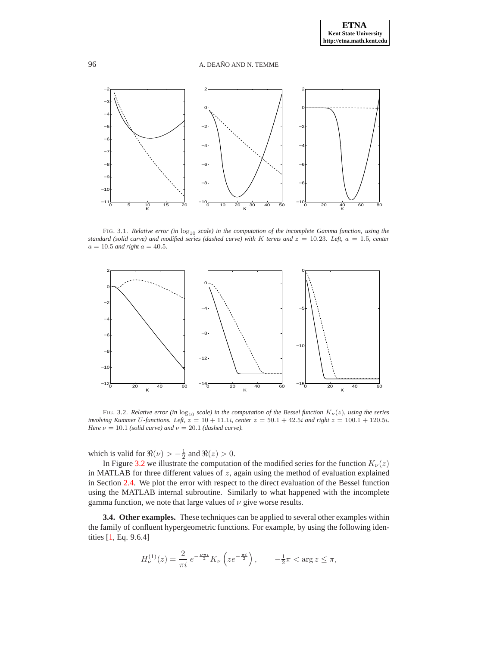

FIG. 3.1. *Relative error (in*  $log_{10}$  *scale) in the computation of the incomplete Gamma function, using the standard (solid curve) and modified series (dashed curve) with* K *terms and*  $z = 10.23$ *. Left,*  $a = 1.5$ *, center*  $a = 10.5$  *and right*  $a = 40.5$ *.* 



FIG. 3.2. *Relative error (in*  $log_{10}$  *scale) in the computation of the Bessel function*  $K_{\nu}(z)$ *, using the series involving Kummer* U*-functions. Left,* z = 10 + 11.1i*, center* z = 50.1 + 42.5i *and right* z = 100.1 + 120.5i*. Here*  $\nu = 10.1$  *(solid curve) and*  $\nu = 20.1$  *(dashed curve).* 

which is valid for  $\Re(\nu) > -\frac{1}{2}$  and  $\Re(z) > 0$ .

In Figure [3.2](#page-13-0) we illustrate the computation of the modified series for the function  $K_{\nu}(z)$ in MATLAB for three different values of  $z$ , again using the method of evaluation explained in Section [2.4.](#page-4-6) We plot the error with respect to the direct evaluation of the Bessel function using the MATLAB internal subroutine. Similarly to what happened with the incomplete gamma function, we note that large values of  $\nu$  give worse results.

**3.4. Other examples.** These techniques can be applied to several other examples within the family of confluent hypergeometric functions. For example, by using the following identities [\[1,](#page-15-6) Eq. 9.6.4]

$$
H_{\nu}^{(1)}(z) = \frac{2}{\pi i} e^{-\frac{\nu \pi i}{2}} K_{\nu} \left( z e^{-\frac{\pi i}{2}} \right), \qquad -\frac{1}{2}\pi < \arg z \le \pi,
$$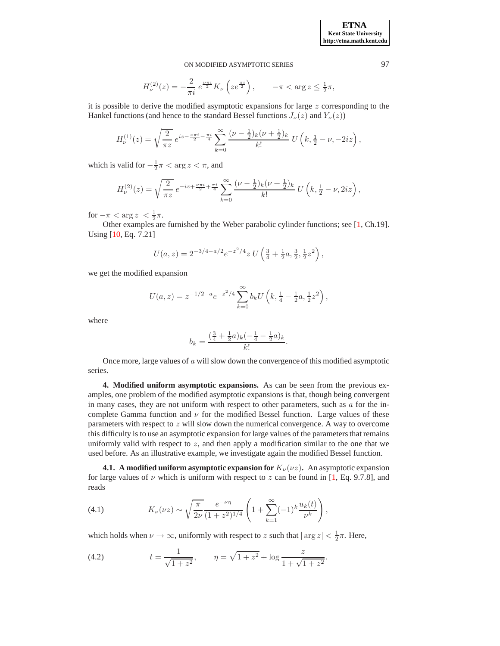$$
H_{\nu}^{(2)}(z) = -\frac{2}{\pi i} e^{\frac{\nu \pi i}{2}} K_{\nu} \left( z e^{\frac{\pi i}{2}} \right), \qquad -\pi < \arg z \le \frac{1}{2}\pi,
$$

it is possible to derive the modified asymptotic expansions for large  $z$  corresponding to the Hankel functions (and hence to the standard Bessel functions  $J_{\nu}(z)$  and  $Y_{\nu}(z)$ )

$$
H_{\nu}^{(1)}(z) = \sqrt{\frac{2}{\pi z}} e^{iz - \frac{\nu \pi i}{2} - \frac{\pi i}{4}} \sum_{k=0}^{\infty} \frac{(\nu - \frac{1}{2})_k (\nu + \frac{1}{2})_k}{k!} U(k, \frac{1}{2} - \nu, -2iz),
$$

which is valid for  $-\frac{1}{2}\pi < \arg z < \pi$ , and

$$
H_{\nu}^{(2)}(z) = \sqrt{\frac{2}{\pi z}} e^{-iz + \frac{\nu \pi i}{2} + \frac{\pi i}{4}} \sum_{k=0}^{\infty} \frac{(\nu - \frac{1}{2})_k (\nu + \frac{1}{2})_k}{k!} U\left(k, \frac{1}{2} - \nu, 2iz\right),
$$

for  $-\pi < \arg z < \frac{1}{2}\pi$ .

Other examples are furnished by the Weber parabolic cylinder functions; see [\[1,](#page-15-6) Ch.19]. Using [\[10,](#page-15-10) Eq. 7.21]

$$
U(a, z) = 2^{-3/4 - a/2} e^{-z^2/4} z U \left(\frac{3}{4} + \frac{1}{2}a, \frac{3}{2}, \frac{1}{2}z^2\right),
$$

we get the modified expansion

$$
U(a,z) = z^{-1/2 - a} e^{-z^2/4} \sum_{k=0}^{\infty} b_k U\left(k, \frac{1}{4} - \frac{1}{2}a, \frac{1}{2}z^2\right),
$$

where

$$
b_k = \frac{(\frac{3}{4} + \frac{1}{2}a)_k(-\frac{1}{4} - \frac{1}{2}a)_k}{k!}.
$$

Once more, large values of  $\alpha$  will slow down the convergence of this modified asymptotic series.

<span id="page-9-0"></span>**4. Modified uniform asymptotic expansions.** As can be seen from the previous examples, one problem of the modified asymptotic expansions is that, though being convergent in many cases, they are not uniform with respect to other parameters, such as  $\alpha$  for the incomplete Gamma function and  $\nu$  for the modified Bessel function. Large values of these parameters with respect to z will slow down the numerical convergence. A way to overcome this difficulty is to use an asymptotic expansion for large values of the parameters that remains uniformly valid with respect to  $z$ , and then apply a modification similar to the one that we used before. As an illustrative example, we investigate again the modified Bessel function.

<span id="page-9-1"></span>**4.1.** A modified uniform asymptotic expansion for  $K_{\nu}(\nu z)$ . An asymptotic expansion for large values of  $\nu$  which is uniform with respect to z can be found in [\[1,](#page-15-6) Eq. 9.7.8], and reads

<span id="page-9-3"></span>(4.1) 
$$
K_{\nu}(\nu z) \sim \sqrt{\frac{\pi}{2\nu}} \frac{e^{-\nu \eta}}{(1+z^2)^{1/4}} \left(1+\sum_{k=1}^{\infty} (-1)^k \frac{u_k(t)}{\nu^k}\right),
$$

which holds when  $\nu \to \infty$ , uniformly with respect to z such that  $|\arg z| < \frac{1}{2}\pi$ . Here,

<span id="page-9-2"></span>(4.2) 
$$
t = \frac{1}{\sqrt{1+z^2}}, \qquad \eta = \sqrt{1+z^2} + \log \frac{z}{1+\sqrt{1+z^2}}.
$$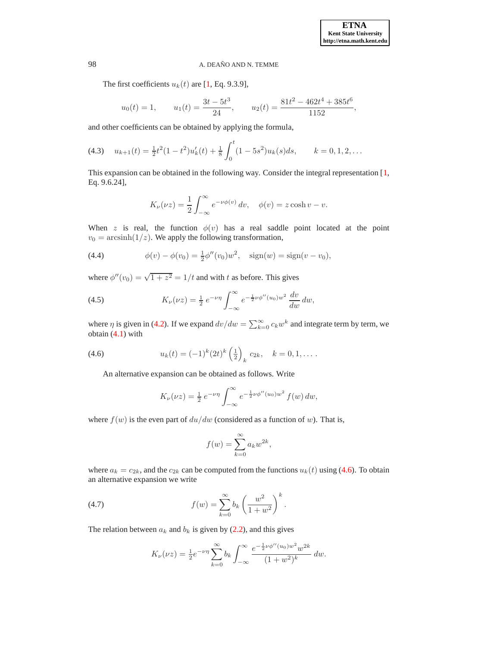The first coefficients  $u_k(t)$  are [\[1,](#page-15-6) Eq. 9.3.9],

$$
u_0(t) = 1,
$$
  $u_1(t) = \frac{3t - 5t^3}{24},$   $u_2(t) = \frac{81t^2 - 462t^4 + 385t^6}{1152},$ 

and other coefficients can be obtained by applying the formula,

<span id="page-10-1"></span>
$$
(4.3) \t u_{k+1}(t) = \frac{1}{2}t^2(1-t^2)u'_k(t) + \frac{1}{8}\int_0^t (1-5s^2)u_k(s)ds, \t k = 0, 1, 2, ...
$$

This expansion can be obtained in the following way. Consider the integral representation [\[1,](#page-15-6) Eq. 9.6.24],

$$
K_{\nu}(\nu z) = \frac{1}{2} \int_{-\infty}^{\infty} e^{-\nu \phi(v)} dv, \quad \phi(v) = z \cosh v - v.
$$

When z is real, the function  $\phi(v)$  has a real saddle point located at the point  $v_0 = \operatorname{arcsinh}(1/z)$ . We apply the following transformation,

<span id="page-10-2"></span>(4.4) 
$$
\phi(v) - \phi(v_0) = \frac{1}{2}\phi''(v_0)w^2, \quad \text{sign}(w) = \text{sign}(v - v_0),
$$

where  $\phi''(v_0) = \sqrt{1 + z^2} = 1/t$  and with t as before. This gives

<span id="page-10-3"></span>(4.5) 
$$
K_{\nu}(\nu z) = \frac{1}{2} e^{-\nu \eta} \int_{-\infty}^{\infty} e^{-\frac{1}{2}\nu \phi''(u_0)w^2} \frac{dv}{dw} dw,
$$

where  $\eta$  is given in [\(4.2\)](#page-9-2). If we expand  $dv/dw = \sum_{k=0}^{\infty} c_k w^k$  and integrate term by term, we obtain [\(4.1\)](#page-9-3) with

<span id="page-10-0"></span>(4.6) 
$$
u_k(t) = (-1)^k (2t)^k \left(\frac{1}{2}\right)_k c_{2k}, \quad k = 0, 1, \dots.
$$

An alternative expansion can be obtained as follows. Write

$$
K_{\nu}(\nu z) = \frac{1}{2} e^{-\nu \eta} \int_{-\infty}^{\infty} e^{-\frac{1}{2}\nu \phi''(u_0) w^2} f(w) dw,
$$

where  $f(w)$  is the even part of  $du/dw$  (considered as a function of w). That is,

$$
f(w) = \sum_{k=0}^{\infty} a_k w^{2k},
$$

where  $a_k = c_{2k}$ , and the  $c_{2k}$  can be computed from the functions  $u_k(t)$  using [\(4.6\)](#page-10-0). To obtain an alternative expansion we write

(4.7) 
$$
f(w) = \sum_{k=0}^{\infty} b_k \left( \frac{w^2}{1 + w^2} \right)^k.
$$

The relation between  $a_k$  and  $b_k$  is given by [\(2.2\)](#page-1-0), and this gives

<span id="page-10-4"></span>
$$
K_{\nu}(\nu z) = \frac{1}{2} e^{-\nu \eta} \sum_{k=0}^{\infty} b_k \int_{-\infty}^{\infty} \frac{e^{-\frac{1}{2}\nu \phi''(u_0)w^2} w^{2k}}{(1+w^2)^k} dw.
$$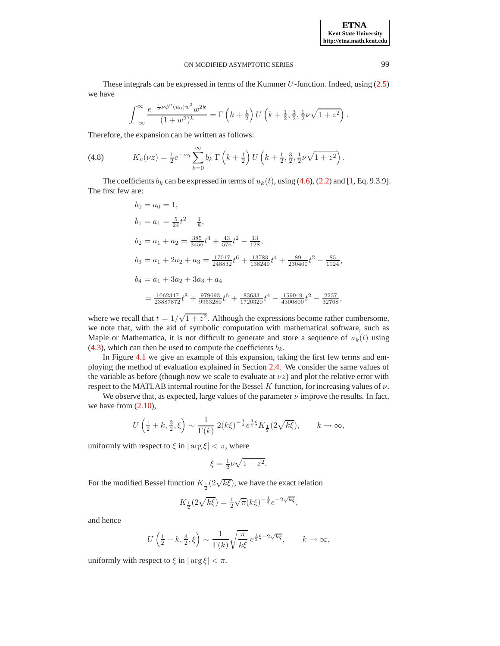**ETNA Kent State University http://etna.math.kent.edu**

### ON MODIFIED ASYMPTOTIC SERIES 99

These integrals can be expressed in terms of the Kummer  $U$ -function. Indeed, using [\(2.5\)](#page-2-2) we have

$$
\int_{-\infty}^{\infty} \frac{e^{-\frac{1}{2}\nu\phi''(u_0)w^2}w^{2k}}{(1+w^2)^k} = \Gamma\left(k+\frac{1}{2}\right)U\left(k+\frac{1}{2},\frac{3}{2},\frac{1}{2}\nu\sqrt{1+z^2}\right).
$$

Therefore, the expansion can be written as follows:

<span id="page-11-0"></span>(4.8) 
$$
K_{\nu}(\nu z) = \frac{1}{2}e^{-\nu\eta}\sum_{k=0}^{\infty}b_k \Gamma\left(k+\frac{1}{2}\right)U\left(k+\frac{1}{2},\frac{3}{2},\frac{1}{2}\nu\sqrt{1+z^2}\right).
$$

The coefficients  $b_k$  can be expressed in terms of  $u_k(t)$ , using [\(4.6\)](#page-10-0), [\(2.2\)](#page-1-0) and [\[1,](#page-15-6) Eq. 9.3.9]. The first few are:

$$
b_0 = a_0 = 1,
$$
  
\n
$$
b_1 = a_1 = \frac{5}{24}t^2 - \frac{1}{8},
$$
  
\n
$$
b_2 = a_1 + a_2 = \frac{385}{3456}t^4 + \frac{43}{576}t^2 - \frac{13}{128},
$$
  
\n
$$
b_3 = a_1 + 2a_2 + a_3 = \frac{17017}{248832}t^6 + \frac{13783}{138240}t^4 + \frac{89}{230400}t^2 - \frac{85}{1024},
$$
  
\n
$$
b_4 = a_1 + 3a_2 + 3a_3 + a_4
$$
  
\n
$$
= \frac{1062347}{23887872}t^8 + \frac{979693}{9953280}t^6 + \frac{83633}{1720320}t^4 - \frac{159049}{4300800}t^2 - \frac{2237}{32768},
$$

where we recall that  $t = 1/\sqrt{1+z^2}$ . Although the expressions become rather cumbersome, we note that, with the aid of symbolic computation with mathematical software, such as Maple or Mathematica, it is not difficult to generate and store a sequence of  $u<sub>k</sub>(t)$  using [\(4.3\)](#page-10-1), which can then be used to compute the coefficients  $b_k$ .

In Figure [4.1](#page-11-0) we give an example of this expansion, taking the first few terms and employing the method of evaluation explained in Section [2.4.](#page-4-6) We consider the same values of the variable as before (though now we scale to evaluate at  $\nu z$ ) and plot the relative error with respect to the MATLAB internal routine for the Bessel K function, for increasing values of  $\nu$ .

We observe that, as expected, large values of the parameter  $\nu$  improve the results. In fact, we have from [\(2.10\)](#page-4-4),

$$
U\left(\tfrac{1}{2}+k,\tfrac{3}{2},\xi\right)\sim \frac{1}{\Gamma(k)}\;2(k\xi)^{-\frac{1}{4}}e^{\frac{1}{2}\xi}K_{\frac{1}{2}}(2\sqrt{k\xi}),\qquad k\to\infty,
$$

uniformly with respect to  $\xi$  in  $|\arg \xi| < \pi$ , where

$$
\xi = \frac{1}{2}\nu\sqrt{1+z^2}.
$$

For the modified Bessel function  $K_{\frac{1}{2}}(2\sqrt{k\xi})$ , we have the exact relation

$$
K_{\frac{1}{2}}(2\sqrt{k\xi}) = \frac{1}{2}\sqrt{\pi}(k\xi)^{-\frac{1}{4}}e^{-2\sqrt{k\xi}},
$$

and hence

$$
U\left(\frac{1}{2}+k,\frac{3}{2},\xi\right) \sim \frac{1}{\Gamma(k)}\sqrt{\frac{\pi}{k\xi}}\,e^{\frac{1}{2}\xi-2\sqrt{k\xi}}, \qquad k \to \infty,
$$

uniformly with respect to  $\xi$  in  $|\arg \xi| < \pi$ .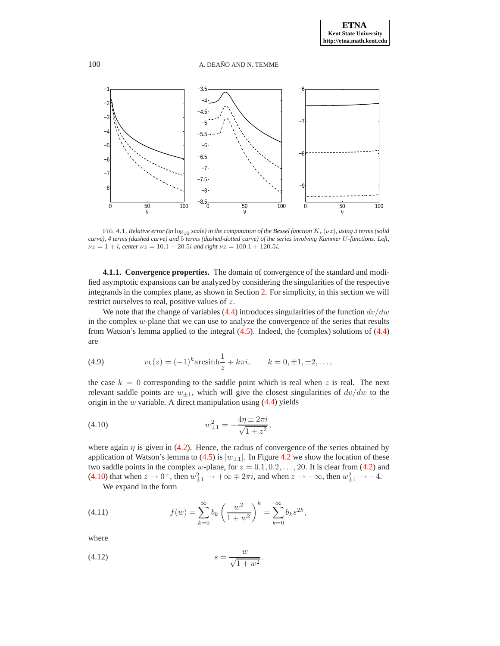

<span id="page-12-0"></span>FIG. 4.1. *Relative error (in*  $\log_{10}$  *scale) in the computation of the Bessel function*  $K_{\nu}(\nu z)$ *, using 3 terms (solid*) *curve), 4 terms (dashed curve) and* 5 *terms (dashed-dotted curve) of the series involving Kummer* U*-functions. Left,*  $\nu z = 1 + i$ *, center*  $\nu z = 10.1 + 20.5i$  *and right*  $\nu z = 100.1 + 120.5i$ *.* 

**4.1.1. Convergence properties.** The domain of convergence of the standard and modified asymptotic expansions can be analyzed by considering the singularities of the respective integrands in the complex plane, as shown in Section [2.](#page-1-3) For simplicity, in this section we will restrict ourselves to real, positive values of z.

We note that the change of variables [\(4.4\)](#page-10-2) introduces singularities of the function  $dv/dw$ in the complex w-plane that we can use to analyze the convergence of the series that results from Watson's lemma applied to the integral [\(4.5\)](#page-10-3). Indeed, the (complex) solutions of [\(4.4\)](#page-10-2) are

<span id="page-12-2"></span>(4.9) 
$$
v_k(z) = (-1)^k \arcsin\frac{1}{z} + k\pi i, \qquad k = 0, \pm 1, \pm 2, \dots,
$$

the case  $k = 0$  corresponding to the saddle point which is real when z is real. The next relevant saddle points are  $w_{\pm 1}$ , which will give the closest singularities of  $dv/dw$  to the origin in the  $w$  variable. A direct manipulation using  $(4.4)$  yields

<span id="page-12-1"></span>(4.10) 
$$
w_{\pm 1}^2 = -\frac{4\eta \pm 2\pi i}{\sqrt{1+z^2}},
$$

where again  $\eta$  is given in [\(4.2\)](#page-9-2). Hence, the radius of convergence of the series obtained by application of Watson's lemma to [\(4.5\)](#page-10-3) is  $|w_{\pm 1}|$ . In Figure [4.2](#page-13-0) we show the location of these two saddle points in the complex w-plane, for  $z = 0.1, 0.2, \ldots, 20$ . It is clear from [\(4.2\)](#page-9-2) and [\(4.10\)](#page-12-1) that when  $z \to 0^+$ , then  $w_{\pm 1}^2 \to +\infty \mp 2\pi i$ , and when  $z \to +\infty$ , then  $w_{\pm 1}^2 \to -4$ .

We expand in the form

<span id="page-12-4"></span>(4.11) 
$$
f(w) = \sum_{k=0}^{\infty} b_k \left(\frac{w^2}{1+w^2}\right)^k = \sum_{k=0}^{\infty} b_k s^{2k},
$$

where

<span id="page-12-3"></span>
$$
(4.12) \t\t\t s = \frac{w}{\sqrt{1+w^2}}.
$$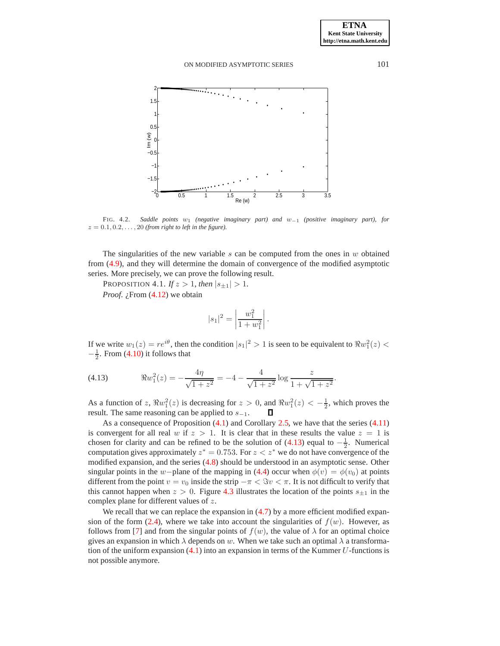

<span id="page-13-0"></span>FIG. 4.2. *Saddle points* w<sup>1</sup> *(negative imaginary part) and* w−<sup>1</sup> *(positive imaginary part), for*  $z = 0.1, 0.2, \ldots, 20$  (from right to left in the figure).

The singularities of the new variable  $s$  can be computed from the ones in  $w$  obtained from [\(4.9\)](#page-12-2), and they will determine the domain of convergence of the modified asymptotic series. More precisely, we can prove the following result.

PROPOSITION 4.1. *If*  $z > 1$ *, then*  $|s_{\pm 1}| > 1$ *.* 

*Proof. i*, From [\(4.12\)](#page-12-3) we obtain

<span id="page-13-1"></span>
$$
|s_1|^2 = \left| \frac{w_1^2}{1 + w_1^2} \right|.
$$

If we write  $w_1(z) = re^{i\theta}$ , then the condition  $|s_1|^2 > 1$  is seen to be equivalent to  $\Re w_1^2(z) <$  $-\frac{1}{2}$ . From [\(4.10\)](#page-12-1) it follows that

<span id="page-13-2"></span>(4.13) 
$$
\Re w_1^2(z) = -\frac{4\eta}{\sqrt{1+z^2}} = -4 - \frac{4}{\sqrt{1+z^2}} \log \frac{z}{1+\sqrt{1+z^2}}.
$$

As a function of z,  $\Re w_1^2(z)$  is decreasing for  $z > 0$ , and  $\Re w_1^2(z) < -\frac{1}{2}$ , which proves the result. The same reasoning can be applied to  $s_{-1}$ .

As a consequence of Proposition  $(4.1)$  and Corollary [2.5,](#page-4-1) we have that the series  $(4.11)$ is convergent for all real w if  $z > 1$ . It is clear that in these results the value  $z = 1$  is chosen for clarity and can be refined to be the solution of  $(4.13)$  equal to  $-\frac{1}{2}$ . Numerical computation gives approximately  $z^* = 0.753$ . For  $z < z^*$  we do not have convergence of the modified expansion, and the series [\(4.8\)](#page-11-0) should be understood in an asymptotic sense. Other singular points in the w−plane of the mapping in [\(4.4\)](#page-10-2) occur when  $\phi(v) = \phi(v_0)$  at points different from the point  $v = v_0$  inside the strip  $-\pi < \Im v < \pi$ . It is not difficult to verify that this cannot happen when  $z > 0$ . Figure [4.3](#page-14-0) illustrates the location of the points  $s_{\pm 1}$  in the complex plane for different values of z.

We recall that we can replace the expansion in  $(4.7)$  by a more efficient modified expan-sion of the form [\(2.4\)](#page-2-0), where we take into account the singularities of  $f(w)$ . However, as follows from [\[7\]](#page-15-5) and from the singular points of  $f(w)$ , the value of  $\lambda$  for an optimal choice gives an expansion in which  $\lambda$  depends on w. When we take such an optimal  $\lambda$  a transformation of the uniform expansion  $(4.1)$  into an expansion in terms of the Kummer U-functions is not possible anymore.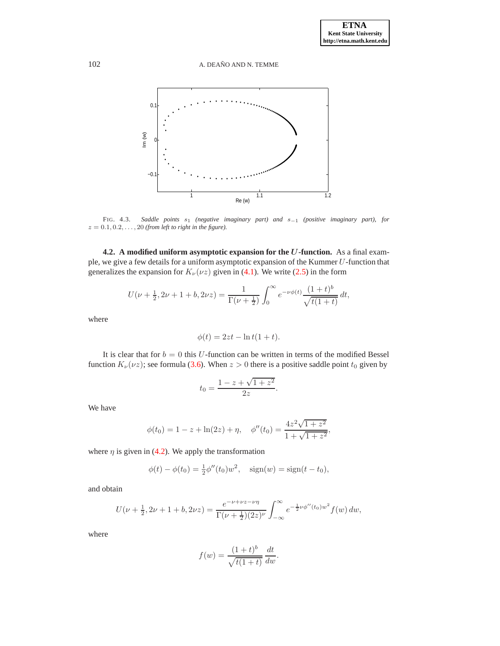102 A. DEAÑO AND N. TEMME



<span id="page-14-0"></span>FIG. 4.3. *Saddle points* s<sup>1</sup> *(negative imaginary part) and* s−<sup>1</sup> *(positive imaginary part), for*  $z = 0.1, 0.2, \ldots, 20$  (from left to right in the figure).

**4.2. A modified uniform asymptotic expansion for the** U**-function.** As a final example, we give a few details for a uniform asymptotic expansion of the Kummer U-function that generalizes the expansion for  $K_{\nu}(\nu z)$  given in [\(4.1\)](#page-9-3). We write [\(2.5\)](#page-2-2) in the form

$$
U(\nu + \frac{1}{2}, 2\nu + 1 + b, 2\nu z) = \frac{1}{\Gamma(\nu + \frac{1}{2})} \int_0^\infty e^{-\nu \phi(t)} \frac{(1+t)^b}{\sqrt{t(1+t)}} dt,
$$

where

$$
\phi(t) = 2zt - \ln t(1+t).
$$

It is clear that for  $b = 0$  this U-function can be written in terms of the modified Bessel function  $K_{\nu}(\nu z)$ ; see formula [\(3.6\)](#page-7-1). When  $z > 0$  there is a positive saddle point  $t_0$  given by

$$
t_0 = \frac{1 - z + \sqrt{1 + z^2}}{2z}.
$$

We have

$$
\phi(t_0) = 1 - z + \ln(2z) + \eta, \quad \phi''(t_0) = \frac{4z^2\sqrt{1+z^2}}{1+\sqrt{1+z^2}},
$$

where  $\eta$  is given in [\(4.2\)](#page-9-2). We apply the transformation

$$
\phi(t) - \phi(t_0) = \frac{1}{2}\phi''(t_0)w^2, \quad \text{sign}(w) = \text{sign}(t - t_0),
$$

and obtain

$$
U(\nu + \frac{1}{2}, 2\nu + 1 + b, 2\nu z) = \frac{e^{-\nu + \nu z - \nu \eta}}{\Gamma(\nu + \frac{1}{2})(2z)^{\nu}} \int_{-\infty}^{\infty} e^{-\frac{1}{2}\nu \phi''(t_0)w^2} f(w) \, dw,
$$

where

$$
f(w) = \frac{(1+t)^b}{\sqrt{t(1+t)}} \frac{dt}{dw}.
$$